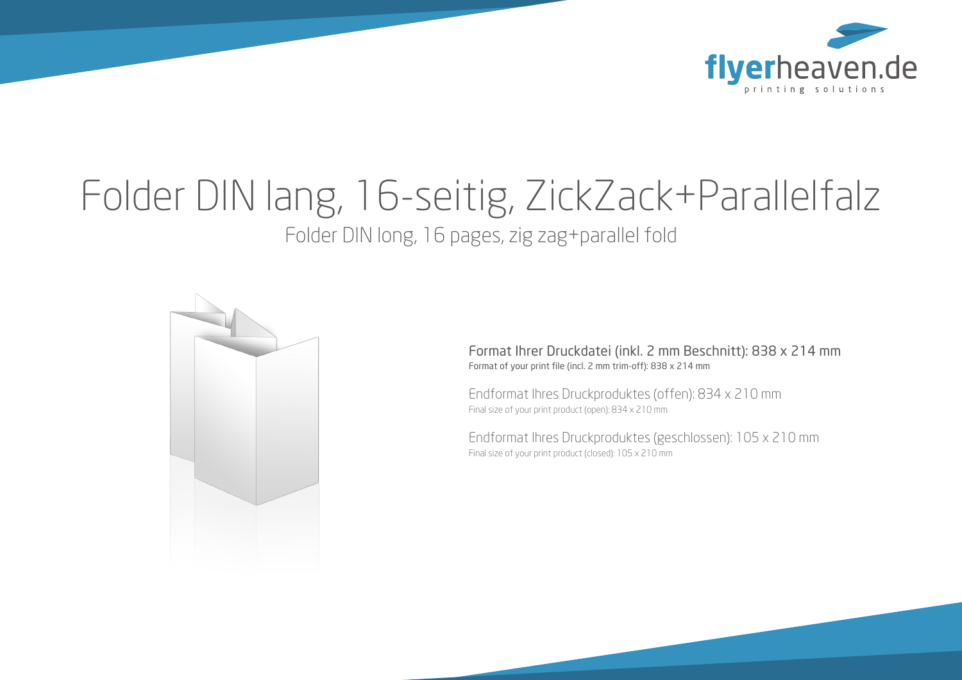

# Folder DIN lang, 16-seitig, ZickZack+Parallelfalz

Folder DIN long, 16 pages, zig zag+parallel fold



Format Ihrer Druckdatei (inkl. 2 mm Beschnitt): 838 x 214 mm Format of your print file (incl. 2 mm trim-off): 838 x 214 mm

Endformat Ihres Druckproduktes (offen): 834 x 210 mm Final size of your print product (open): 834 x 210 mm

Endformat Ihres Druckproduktes (geschlossen): 105 x 210 mm Final size of your print product (closed): 105 x 210 mm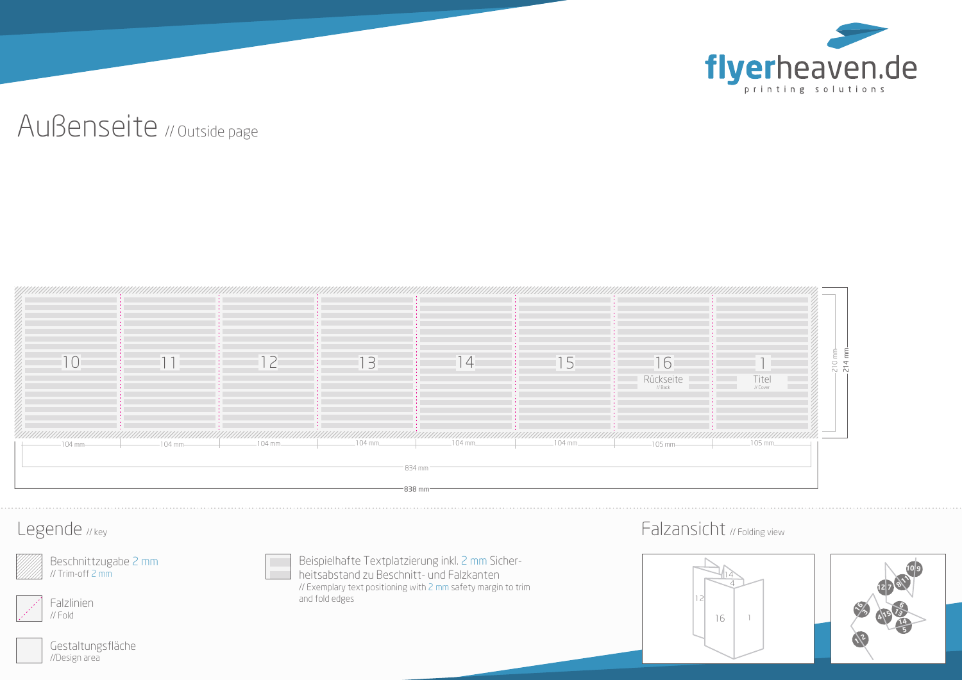

## Außenseite // Outside page



#### Legende // key

Beschnittzugabe 2 mm // Trim-off 2 mm



Gestaltungsfläche //Design area

Beispielhafte Textplatzierung inkl. 2 mm Sicherheitsabstand zu Beschnitt- und Falzkanten // Exemplary text positioning with 2 mm safety margin to trim and fold edges

### Falzansicht // Folding view



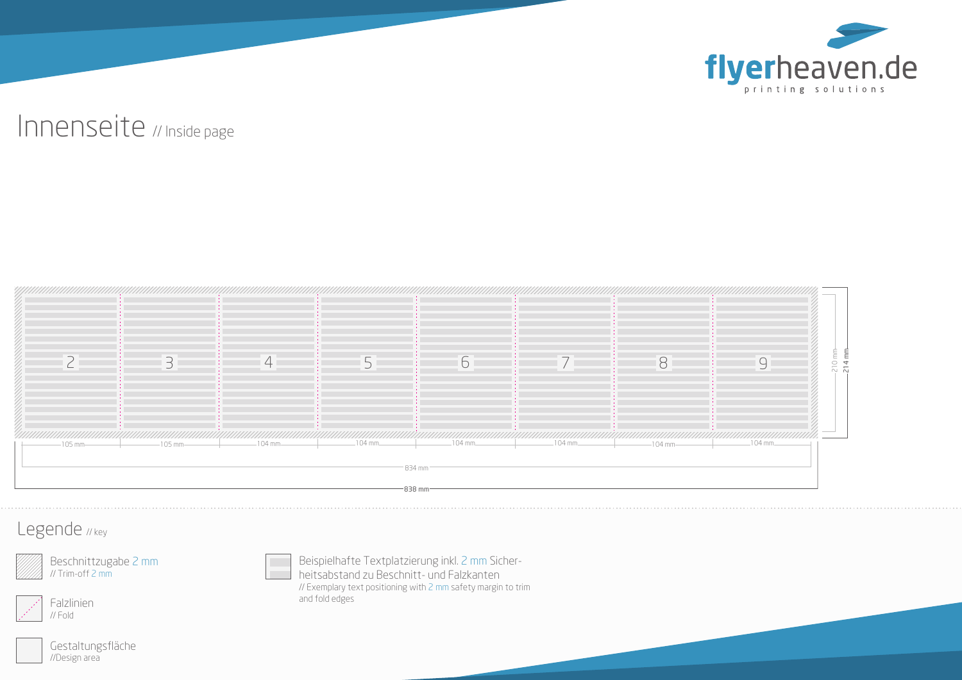

## Innenseite // Inside page



#### Legende // key

Beschnittzugabe 2 mm // Trim-off 2 mm



Gestaltungsfläche //Design area

Beispielhafte Textplatzierung inkl. 2 mm Sicherheitsabstand zu Beschnitt- und Falzkanten // Exemplary text positioning with 2 mm safety margin to trim and fold edges